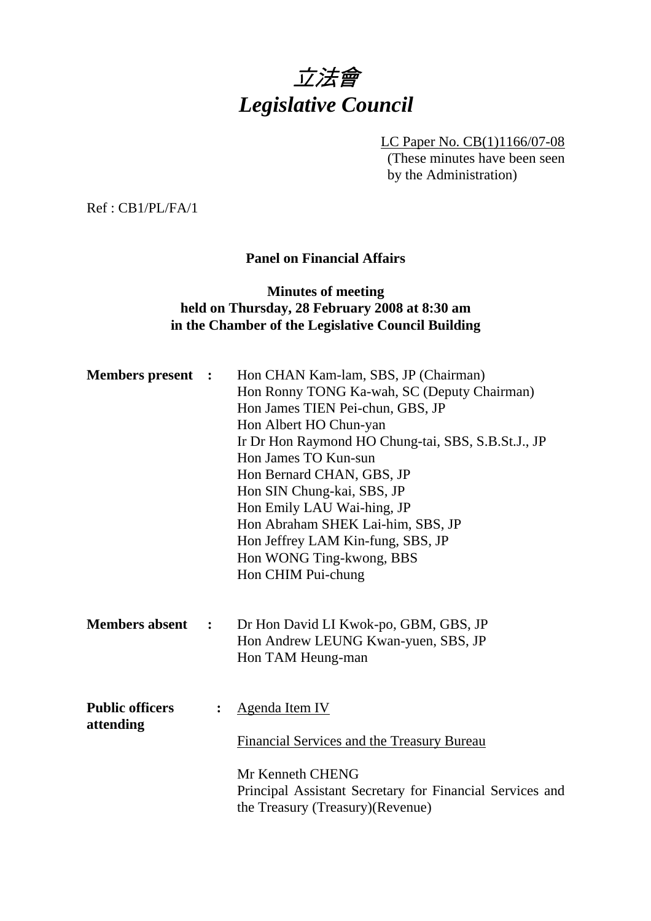

LC Paper No. CB(1)1166/07-08 (These minutes have been seen by the Administration)

Ref : CB1/PL/FA/1

## **Panel on Financial Affairs**

## **Minutes of meeting held on Thursday, 28 February 2008 at 8:30 am in the Chamber of the Legislative Council Building**

| <b>Members present :</b>            |                | Hon CHAN Kam-lam, SBS, JP (Chairman)<br>Hon Ronny TONG Ka-wah, SC (Deputy Chairman)<br>Hon James TIEN Pei-chun, GBS, JP<br>Hon Albert HO Chun-yan<br>Ir Dr Hon Raymond HO Chung-tai, SBS, S.B.St.J., JP<br>Hon James TO Kun-sun<br>Hon Bernard CHAN, GBS, JP<br>Hon SIN Chung-kai, SBS, JP<br>Hon Emily LAU Wai-hing, JP<br>Hon Abraham SHEK Lai-him, SBS, JP<br>Hon Jeffrey LAM Kin-fung, SBS, JP<br>Hon WONG Ting-kwong, BBS<br>Hon CHIM Pui-chung |
|-------------------------------------|----------------|------------------------------------------------------------------------------------------------------------------------------------------------------------------------------------------------------------------------------------------------------------------------------------------------------------------------------------------------------------------------------------------------------------------------------------------------------|
| <b>Members absent</b>               | $\ddot{\cdot}$ | Dr Hon David LI Kwok-po, GBM, GBS, JP<br>Hon Andrew LEUNG Kwan-yuen, SBS, JP<br>Hon TAM Heung-man                                                                                                                                                                                                                                                                                                                                                    |
| <b>Public officers</b><br>attending |                | <b>Agenda Item IV</b><br>Financial Services and the Treasury Bureau<br>Mr Kenneth CHENG<br>Principal Assistant Secretary for Financial Services and<br>the Treasury (Treasury) (Revenue)                                                                                                                                                                                                                                                             |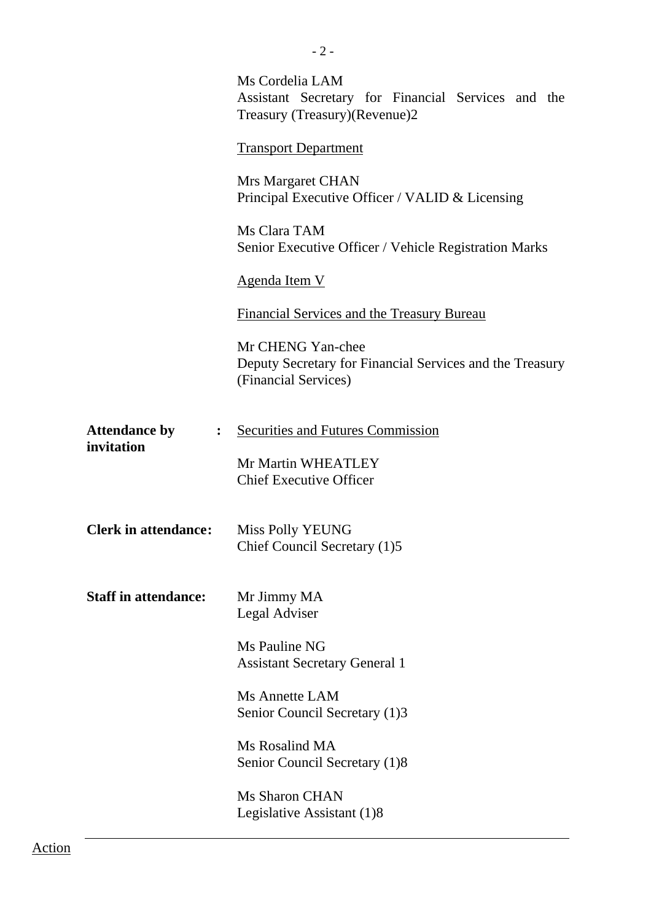|                                                      | Ms Cordelia LAM<br>Assistant Secretary for Financial Services and the<br>Treasury (Treasury) (Revenue) 2 |
|------------------------------------------------------|----------------------------------------------------------------------------------------------------------|
|                                                      | <b>Transport Department</b>                                                                              |
|                                                      | Mrs Margaret CHAN<br>Principal Executive Officer / VALID & Licensing                                     |
|                                                      | Ms Clara TAM<br>Senior Executive Officer / Vehicle Registration Marks                                    |
|                                                      | <b>Agenda Item V</b>                                                                                     |
|                                                      | Financial Services and the Treasury Bureau                                                               |
|                                                      | Mr CHENG Yan-chee<br>Deputy Secretary for Financial Services and the Treasury<br>(Financial Services)    |
| <b>Attendance by</b><br>$\ddot{\cdot}$<br>invitation | <b>Securities and Futures Commission</b>                                                                 |
|                                                      | Mr Martin WHEATLEY<br><b>Chief Executive Officer</b>                                                     |
| <b>Clerk in attendance:</b>                          | Miss Polly YEUNG<br>Chief Council Secretary (1)5                                                         |
| <b>Staff in attendance:</b>                          | Mr Jimmy MA<br>Legal Adviser                                                                             |
|                                                      | Ms Pauline NG<br><b>Assistant Secretary General 1</b>                                                    |
|                                                      | Ms Annette LAM<br>Senior Council Secretary (1)3                                                          |
|                                                      | Ms Rosalind MA<br>Senior Council Secretary (1)8                                                          |
|                                                      | Ms Sharon CHAN<br>Legislative Assistant (1)8                                                             |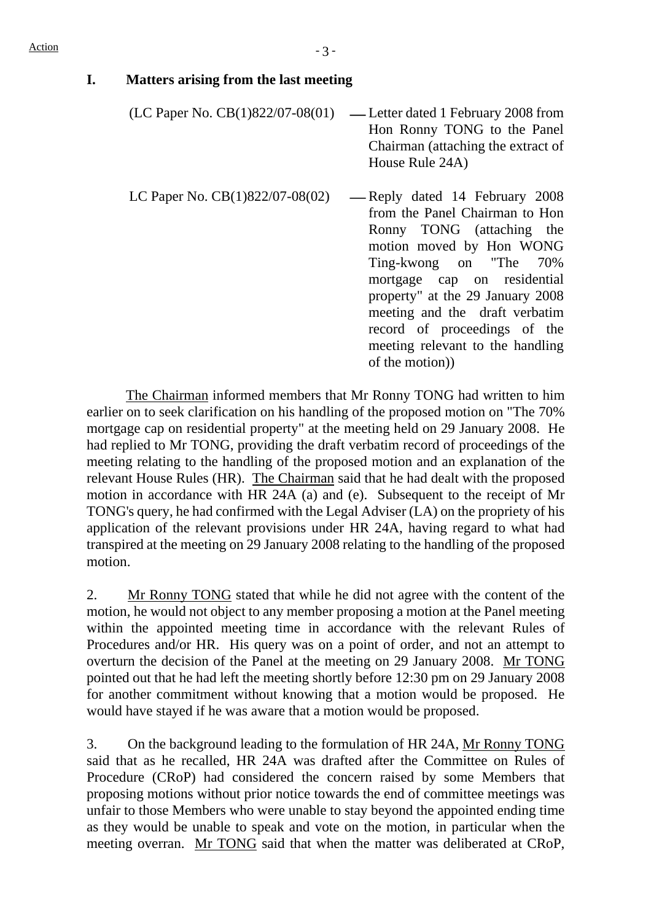## **I. Matters arising from the last meeting**

- $(LC$  Paper No.  $CB(1)822/07-08(01)$  Letter dated 1 February 2008 from Hon Ronny TONG to the Panel Chairman (attaching the extract of House Rule 24A)
- LC Paper No.  $CB(1)822/07-08(02)$  -Reply dated 14 February 2008 from the Panel Chairman to Hon Ronny TONG (attaching the motion moved by Hon WONG Ting-kwong on "The 70% mortgage cap on residential property" at the 29 January 2008 meeting and the draft verbatim record of proceedings of the meeting relevant to the handling of the motion))

 The Chairman informed members that Mr Ronny TONG had written to him earlier on to seek clarification on his handling of the proposed motion on "The 70% mortgage cap on residential property" at the meeting held on 29 January 2008. He had replied to Mr TONG, providing the draft verbatim record of proceedings of the meeting relating to the handling of the proposed motion and an explanation of the relevant House Rules (HR). The Chairman said that he had dealt with the proposed motion in accordance with HR 24A (a) and (e). Subsequent to the receipt of Mr TONG's query, he had confirmed with the Legal Adviser (LA) on the propriety of his application of the relevant provisions under HR 24A, having regard to what had transpired at the meeting on 29 January 2008 relating to the handling of the proposed motion.

2. Mr Ronny TONG stated that while he did not agree with the content of the motion, he would not object to any member proposing a motion at the Panel meeting within the appointed meeting time in accordance with the relevant Rules of Procedures and/or HR. His query was on a point of order, and not an attempt to overturn the decision of the Panel at the meeting on 29 January 2008. Mr TONG pointed out that he had left the meeting shortly before 12:30 pm on 29 January 2008 for another commitment without knowing that a motion would be proposed. He would have stayed if he was aware that a motion would be proposed.

3. On the background leading to the formulation of HR 24A, Mr Ronny TONG said that as he recalled, HR 24A was drafted after the Committee on Rules of Procedure (CRoP) had considered the concern raised by some Members that proposing motions without prior notice towards the end of committee meetings was unfair to those Members who were unable to stay beyond the appointed ending time as they would be unable to speak and vote on the motion, in particular when the meeting overran. Mr TONG said that when the matter was deliberated at CRoP,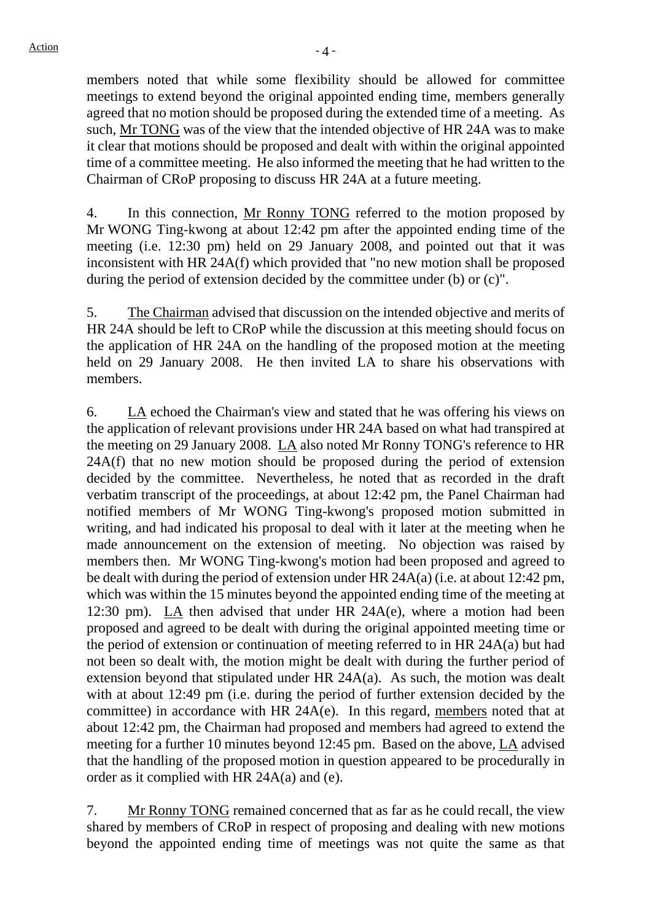members noted that while some flexibility should be allowed for committee meetings to extend beyond the original appointed ending time, members generally agreed that no motion should be proposed during the extended time of a meeting. As such, Mr TONG was of the view that the intended objective of HR 24A was to make it clear that motions should be proposed and dealt with within the original appointed time of a committee meeting. He also informed the meeting that he had written to the Chairman of CRoP proposing to discuss HR 24A at a future meeting.

4. In this connection, Mr Ronny TONG referred to the motion proposed by Mr WONG Ting-kwong at about 12:42 pm after the appointed ending time of the meeting (i.e. 12:30 pm) held on 29 January 2008, and pointed out that it was inconsistent with HR 24A(f) which provided that "no new motion shall be proposed during the period of extension decided by the committee under (b) or (c)".

5. The Chairman advised that discussion on the intended objective and merits of HR 24A should be left to CRoP while the discussion at this meeting should focus on the application of HR 24A on the handling of the proposed motion at the meeting held on 29 January 2008. He then invited LA to share his observations with members.

6. LA echoed the Chairman's view and stated that he was offering his views on the application of relevant provisions under HR 24A based on what had transpired at the meeting on 29 January 2008. LA also noted Mr Ronny TONG's reference to HR 24A(f) that no new motion should be proposed during the period of extension decided by the committee. Nevertheless, he noted that as recorded in the draft verbatim transcript of the proceedings, at about 12:42 pm, the Panel Chairman had notified members of Mr WONG Ting-kwong's proposed motion submitted in writing, and had indicated his proposal to deal with it later at the meeting when he made announcement on the extension of meeting. No objection was raised by members then. Mr WONG Ting-kwong's motion had been proposed and agreed to be dealt with during the period of extension under HR 24A(a) (i.e. at about 12:42 pm, which was within the 15 minutes beyond the appointed ending time of the meeting at 12:30 pm). LA then advised that under HR 24A(e), where a motion had been proposed and agreed to be dealt with during the original appointed meeting time or the period of extension or continuation of meeting referred to in HR 24A(a) but had not been so dealt with, the motion might be dealt with during the further period of extension beyond that stipulated under HR 24A(a). As such, the motion was dealt with at about 12:49 pm (i.e. during the period of further extension decided by the committee) in accordance with HR 24A(e). In this regard, members noted that at about 12:42 pm, the Chairman had proposed and members had agreed to extend the meeting for a further 10 minutes beyond 12:45 pm. Based on the above, LA advised that the handling of the proposed motion in question appeared to be procedurally in order as it complied with HR 24A(a) and (e).

7. Mr Ronny TONG remained concerned that as far as he could recall, the view shared by members of CRoP in respect of proposing and dealing with new motions beyond the appointed ending time of meetings was not quite the same as that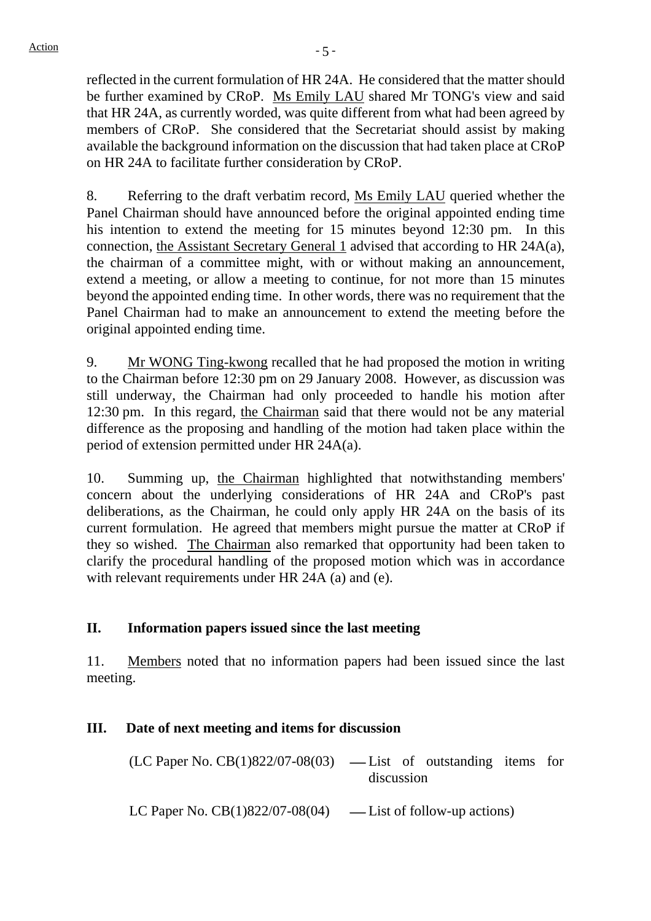reflected in the current formulation of HR 24A. He considered that the matter should be further examined by CRoP. Ms Emily LAU shared Mr TONG's view and said that HR 24A, as currently worded, was quite different from what had been agreed by members of CRoP. She considered that the Secretariat should assist by making available the background information on the discussion that had taken place at CRoP on HR 24A to facilitate further consideration by CRoP.

8. Referring to the draft verbatim record, Ms Emily LAU queried whether the Panel Chairman should have announced before the original appointed ending time his intention to extend the meeting for 15 minutes beyond 12:30 pm. In this connection, the Assistant Secretary General 1 advised that according to HR 24A(a), the chairman of a committee might, with or without making an announcement, extend a meeting, or allow a meeting to continue, for not more than 15 minutes beyond the appointed ending time. In other words, there was no requirement that the Panel Chairman had to make an announcement to extend the meeting before the original appointed ending time.

9. Mr WONG Ting-kwong recalled that he had proposed the motion in writing to the Chairman before 12:30 pm on 29 January 2008. However, as discussion was still underway, the Chairman had only proceeded to handle his motion after 12:30 pm. In this regard, the Chairman said that there would not be any material difference as the proposing and handling of the motion had taken place within the period of extension permitted under HR 24A(a).

10. Summing up, the Chairman highlighted that notwithstanding members' concern about the underlying considerations of HR 24A and CRoP's past deliberations, as the Chairman, he could only apply HR 24A on the basis of its current formulation. He agreed that members might pursue the matter at CRoP if they so wished. The Chairman also remarked that opportunity had been taken to clarify the procedural handling of the proposed motion which was in accordance with relevant requirements under HR 24A (a) and (e).

# **II. Information papers issued since the last meeting**

11. Members noted that no information papers had been issued since the last meeting.

# **III. Date of next meeting and items for discussion**

 $(LC$  Paper No.  $CB(1)822/07-08(03)$  — List of outstanding items for discussion

LC Paper No.  $CB(1)822/07-08(04)$  — List of follow-up actions)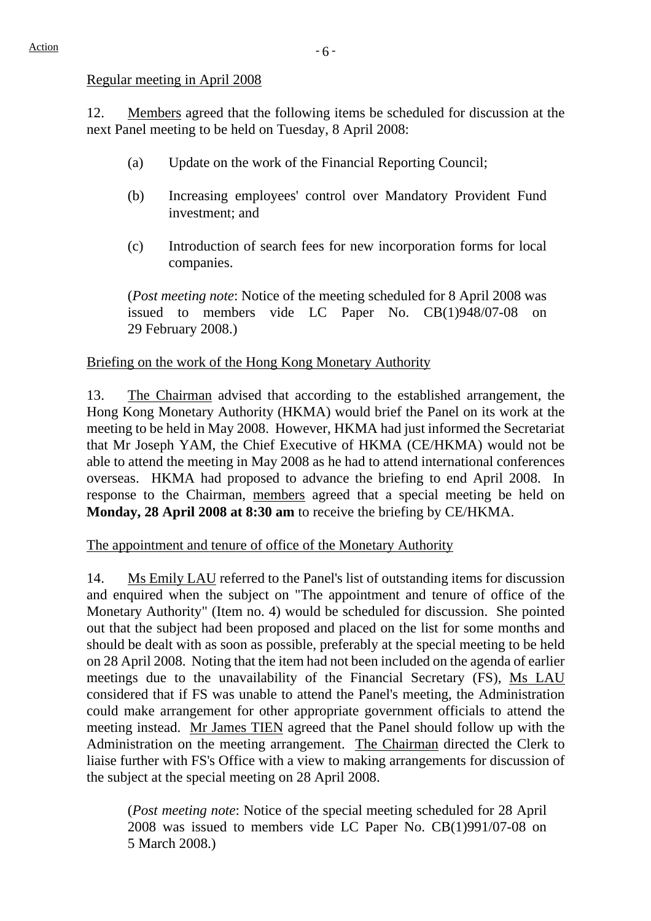#### Regular meeting in April 2008

12. Members agreed that the following items be scheduled for discussion at the next Panel meeting to be held on Tuesday, 8 April 2008:

- (a) Update on the work of the Financial Reporting Council;
- (b) Increasing employees' control over Mandatory Provident Fund investment; and
- (c) Introduction of search fees for new incorporation forms for local companies.

(*Post meeting note*: Notice of the meeting scheduled for 8 April 2008 was issued to members vide LC Paper No. CB(1)948/07-08 on 29 February 2008.)

# Briefing on the work of the Hong Kong Monetary Authority

13. The Chairman advised that according to the established arrangement, the Hong Kong Monetary Authority (HKMA) would brief the Panel on its work at the meeting to be held in May 2008. However, HKMA had just informed the Secretariat that Mr Joseph YAM, the Chief Executive of HKMA (CE/HKMA) would not be able to attend the meeting in May 2008 as he had to attend international conferences overseas. HKMA had proposed to advance the briefing to end April 2008. In response to the Chairman, members agreed that a special meeting be held on **Monday, 28 April 2008 at 8:30 am** to receive the briefing by CE/HKMA.

The appointment and tenure of office of the Monetary Authority

14. Ms Emily LAU referred to the Panel's list of outstanding items for discussion and enquired when the subject on "The appointment and tenure of office of the Monetary Authority" (Item no. 4) would be scheduled for discussion. She pointed out that the subject had been proposed and placed on the list for some months and should be dealt with as soon as possible, preferably at the special meeting to be held on 28 April 2008. Noting that the item had not been included on the agenda of earlier meetings due to the unavailability of the Financial Secretary (FS), Ms LAU considered that if FS was unable to attend the Panel's meeting, the Administration could make arrangement for other appropriate government officials to attend the meeting instead. Mr James TIEN agreed that the Panel should follow up with the Administration on the meeting arrangement. The Chairman directed the Clerk to liaise further with FS's Office with a view to making arrangements for discussion of the subject at the special meeting on 28 April 2008.

(*Post meeting note*: Notice of the special meeting scheduled for 28 April 2008 was issued to members vide LC Paper No. CB(1)991/07-08 on 5 March 2008.)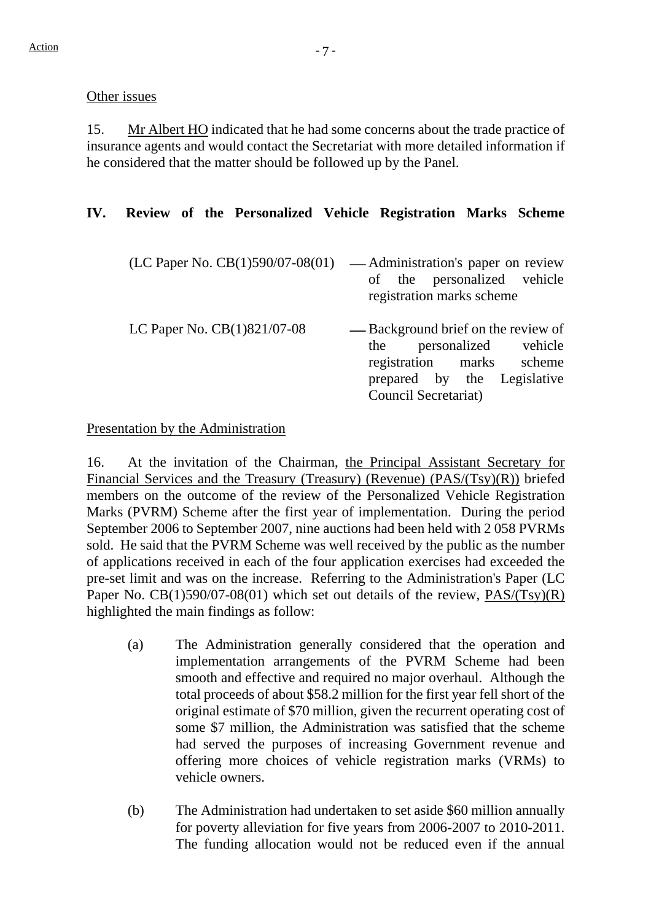#### Other issues

15. Mr Albert HO indicated that he had some concerns about the trade practice of insurance agents and would contact the Secretariat with more detailed information if he considered that the matter should be followed up by the Panel.

# **IV. Review of the Personalized Vehicle Registration Marks Scheme**

 $(LC$  Paper No.  $CB(1)590/07-08(01)$  — Administration's paper on review of the personalized vehicle registration marks scheme LC Paper No.  $CB(1)821/07-08$  -Background brief on the review of the personalized vehicle registration marks scheme prepared by the Legislative Council Secretariat)

## Presentation by the Administration

16. At the invitation of the Chairman, the Principal Assistant Secretary for Financial Services and the Treasury (Treasury) (Revenue) (PAS/(Tsy)(R)) briefed members on the outcome of the review of the Personalized Vehicle Registration Marks (PVRM) Scheme after the first year of implementation. During the period September 2006 to September 2007, nine auctions had been held with 2 058 PVRMs sold. He said that the PVRM Scheme was well received by the public as the number of applications received in each of the four application exercises had exceeded the pre-set limit and was on the increase. Referring to the Administration's Paper (LC Paper No. CB(1)590/07-08(01) which set out details of the review, PAS/(Tsy)(R) highlighted the main findings as follow:

- (a) The Administration generally considered that the operation and implementation arrangements of the PVRM Scheme had been smooth and effective and required no major overhaul. Although the total proceeds of about \$58.2 million for the first year fell short of the original estimate of \$70 million, given the recurrent operating cost of some \$7 million, the Administration was satisfied that the scheme had served the purposes of increasing Government revenue and offering more choices of vehicle registration marks (VRMs) to vehicle owners.
- (b) The Administration had undertaken to set aside \$60 million annually for poverty alleviation for five years from 2006-2007 to 2010-2011. The funding allocation would not be reduced even if the annual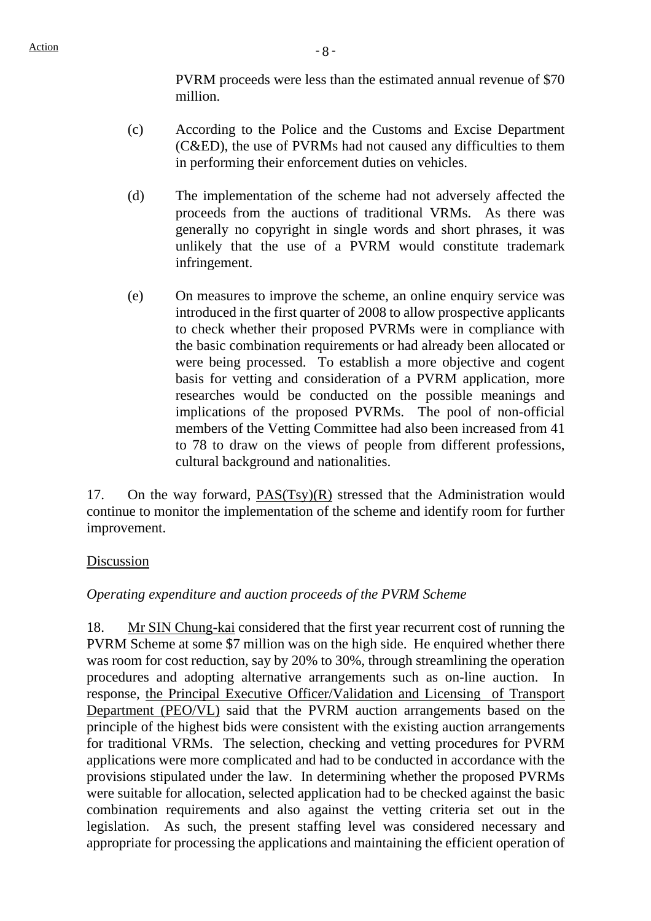PVRM proceeds were less than the estimated annual revenue of \$70 million.

- (c) According to the Police and the Customs and Excise Department (C&ED), the use of PVRMs had not caused any difficulties to them in performing their enforcement duties on vehicles.
- (d) The implementation of the scheme had not adversely affected the proceeds from the auctions of traditional VRMs. As there was generally no copyright in single words and short phrases, it was unlikely that the use of a PVRM would constitute trademark infringement.
- (e) On measures to improve the scheme, an online enquiry service was introduced in the first quarter of 2008 to allow prospective applicants to check whether their proposed PVRMs were in compliance with the basic combination requirements or had already been allocated or were being processed. To establish a more objective and cogent basis for vetting and consideration of a PVRM application, more researches would be conducted on the possible meanings and implications of the proposed PVRMs. The pool of non-official members of the Vetting Committee had also been increased from 41 to 78 to draw on the views of people from different professions, cultural background and nationalities.

17. On the way forward, PAS(Tsy)(R) stressed that the Administration would continue to monitor the implementation of the scheme and identify room for further improvement.

### Discussion

### *Operating expenditure and auction proceeds of the PVRM Scheme*

18. Mr SIN Chung-kai considered that the first year recurrent cost of running the PVRM Scheme at some \$7 million was on the high side. He enquired whether there was room for cost reduction, say by 20% to 30%, through streamlining the operation procedures and adopting alternative arrangements such as on-line auction. In response, the Principal Executive Officer/Validation and Licensing of Transport Department (PEO/VL) said that the PVRM auction arrangements based on the principle of the highest bids were consistent with the existing auction arrangements for traditional VRMs. The selection, checking and vetting procedures for PVRM applications were more complicated and had to be conducted in accordance with the provisions stipulated under the law. In determining whether the proposed PVRMs were suitable for allocation, selected application had to be checked against the basic combination requirements and also against the vetting criteria set out in the legislation. As such, the present staffing level was considered necessary and appropriate for processing the applications and maintaining the efficient operation of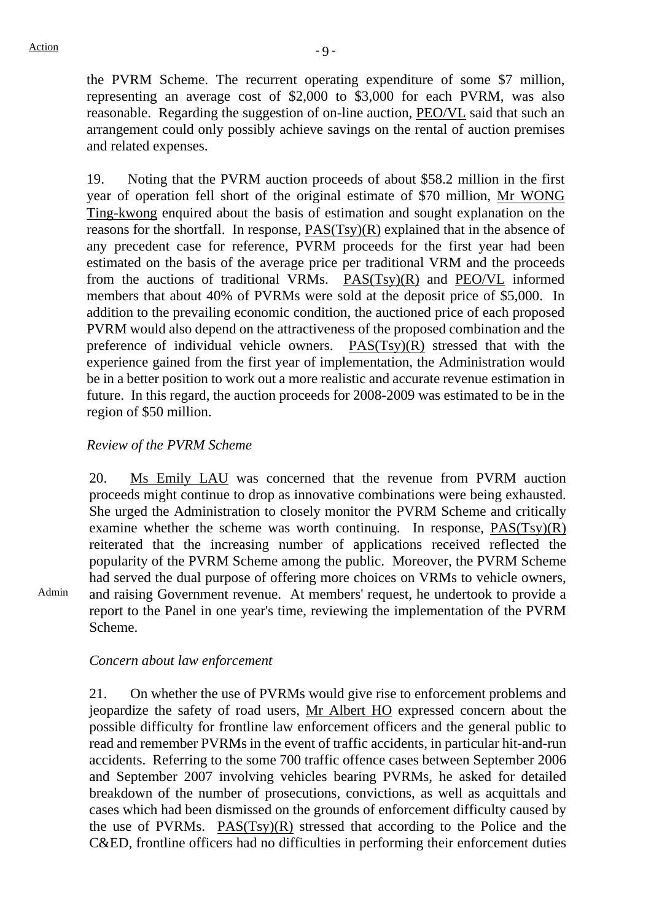Admin

the PVRM Scheme. The recurrent operating expenditure of some \$7 million, representing an average cost of \$2,000 to \$3,000 for each PVRM, was also reasonable. Regarding the suggestion of on-line auction, PEO/VL said that such an arrangement could only possibly achieve savings on the rental of auction premises and related expenses.

19. Noting that the PVRM auction proceeds of about \$58.2 million in the first year of operation fell short of the original estimate of \$70 million, Mr WONG Ting-kwong enquired about the basis of estimation and sought explanation on the reasons for the shortfall. In response, PAS(Tsy)(R) explained that in the absence of any precedent case for reference, PVRM proceeds for the first year had been estimated on the basis of the average price per traditional VRM and the proceeds from the auctions of traditional VRMs. PAS(Tsy)(R) and PEO/VL informed members that about 40% of PVRMs were sold at the deposit price of \$5,000. In addition to the prevailing economic condition, the auctioned price of each proposed PVRM would also depend on the attractiveness of the proposed combination and the preference of individual vehicle owners. PAS(Tsy)(R) stressed that with the experience gained from the first year of implementation, the Administration would be in a better position to work out a more realistic and accurate revenue estimation in future. In this regard, the auction proceeds for 2008-2009 was estimated to be in the region of \$50 million.

### *Review of the PVRM Scheme*

20. Ms Emily LAU was concerned that the revenue from PVRM auction proceeds might continue to drop as innovative combinations were being exhausted. She urged the Administration to closely monitor the PVRM Scheme and critically examine whether the scheme was worth continuing. In response,  $PAS(Tsy)(R)$ reiterated that the increasing number of applications received reflected the popularity of the PVRM Scheme among the public. Moreover, the PVRM Scheme had served the dual purpose of offering more choices on VRMs to vehicle owners, and raising Government revenue. At members' request, he undertook to provide a report to the Panel in one year's time, reviewing the implementation of the PVRM Scheme.

*Concern about law enforcement* 

21. On whether the use of PVRMs would give rise to enforcement problems and jeopardize the safety of road users, Mr Albert HO expressed concern about the possible difficulty for frontline law enforcement officers and the general public to read and remember PVRMs in the event of traffic accidents, in particular hit-and-run accidents. Referring to the some 700 traffic offence cases between September 2006 and September 2007 involving vehicles bearing PVRMs, he asked for detailed breakdown of the number of prosecutions, convictions, as well as acquittals and cases which had been dismissed on the grounds of enforcement difficulty caused by the use of PVRMs. PAS(Tsy)(R) stressed that according to the Police and the C&ED, frontline officers had no difficulties in performing their enforcement duties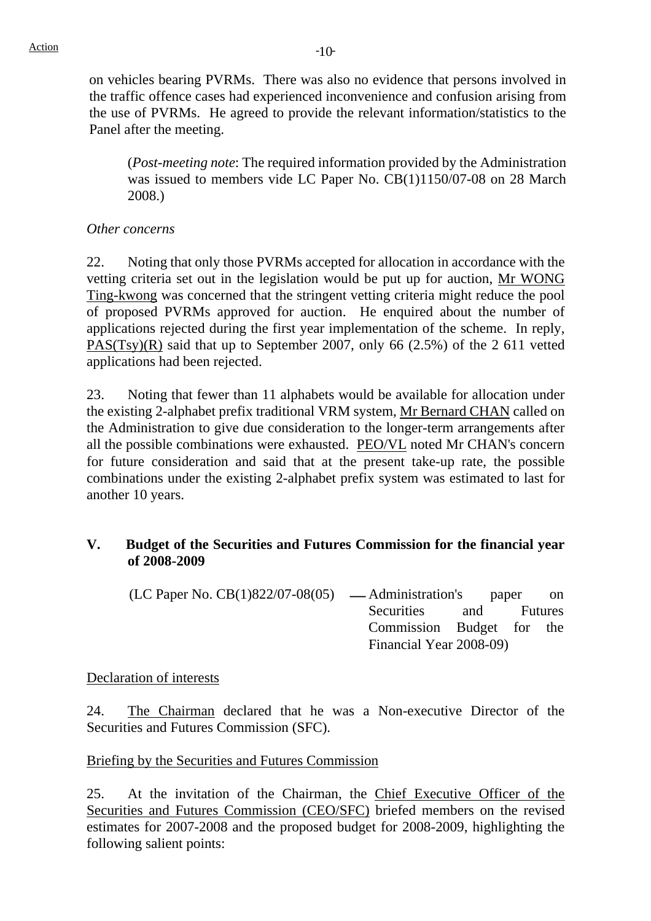on vehicles bearing PVRMs. There was also no evidence that persons involved in the traffic offence cases had experienced inconvenience and confusion arising from the use of PVRMs. He agreed to provide the relevant information/statistics to the Panel after the meeting.

(*Post-meeting note*: The required information provided by the Administration was issued to members vide LC Paper No. CB(1)1150/07-08 on 28 March 2008.)

## *Other concerns*

22. Noting that only those PVRMs accepted for allocation in accordance with the vetting criteria set out in the legislation would be put up for auction, Mr WONG Ting-kwong was concerned that the stringent vetting criteria might reduce the pool of proposed PVRMs approved for auction. He enquired about the number of applications rejected during the first year implementation of the scheme. In reply, PAS(Tsy)(R) said that up to September 2007, only 66 (2.5%) of the 2 611 vetted applications had been rejected.

23. Noting that fewer than 11 alphabets would be available for allocation under the existing 2-alphabet prefix traditional VRM system, Mr Bernard CHAN called on the Administration to give due consideration to the longer-term arrangements after all the possible combinations were exhausted. PEO/VL noted Mr CHAN's concern for future consideration and said that at the present take-up rate, the possible combinations under the existing 2-alphabet prefix system was estimated to last for another 10 years.

### **V. Budget of the Securities and Futures Commission for the financial year of 2008-2009**

 $(LC$  Paper No.  $CB(1)822/07-08(05)$  — Administration's paper on Securities and Futures Commission Budget for the Financial Year 2008-09)

### Declaration of interests

24. The Chairman declared that he was a Non-executive Director of the Securities and Futures Commission (SFC).

### Briefing by the Securities and Futures Commission

25. At the invitation of the Chairman, the Chief Executive Officer of the Securities and Futures Commission (CEO/SFC) briefed members on the revised estimates for 2007-2008 and the proposed budget for 2008-2009, highlighting the following salient points: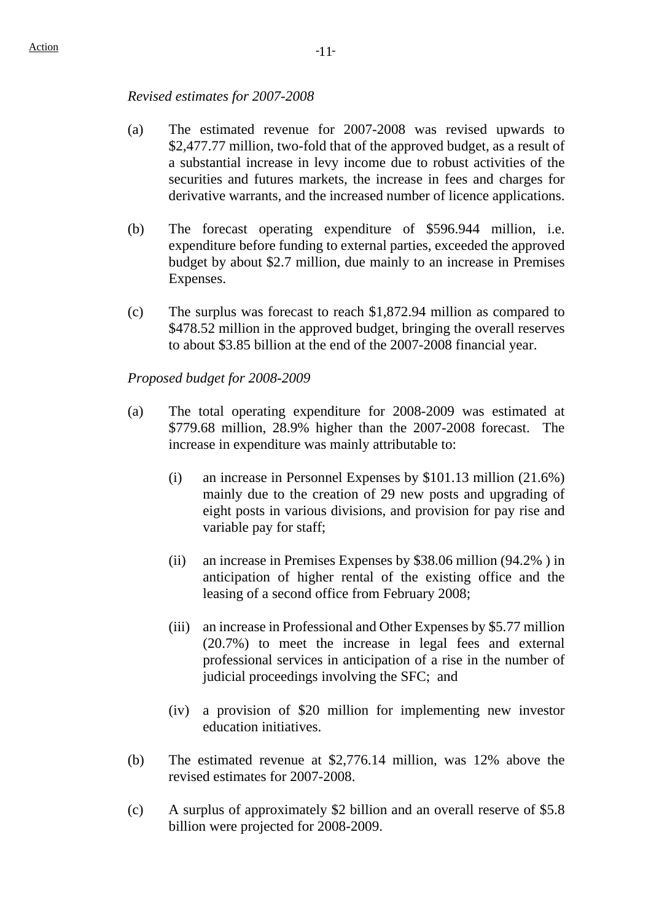#### *Revised estimates for 2007-2008*

- (a) The estimated revenue for 2007-2008 was revised upwards to \$2,477.77 million, two-fold that of the approved budget, as a result of a substantial increase in levy income due to robust activities of the securities and futures markets, the increase in fees and charges for derivative warrants, and the increased number of licence applications.
- (b) The forecast operating expenditure of \$596.944 million, i.e. expenditure before funding to external parties, exceeded the approved budget by about \$2.7 million, due mainly to an increase in Premises Expenses.
- (c) The surplus was forecast to reach \$1,872.94 million as compared to \$478.52 million in the approved budget, bringing the overall reserves to about \$3.85 billion at the end of the 2007-2008 financial year.

#### *Proposed budget for 2008-2009*

- (a) The total operating expenditure for 2008-2009 was estimated at \$779.68 million, 28.9% higher than the 2007-2008 forecast. The increase in expenditure was mainly attributable to:
	- (i) an increase in Personnel Expenses by \$101.13 million (21.6%) mainly due to the creation of 29 new posts and upgrading of eight posts in various divisions, and provision for pay rise and variable pay for staff;
	- (ii) an increase in Premises Expenses by \$38.06 million (94.2% ) in anticipation of higher rental of the existing office and the leasing of a second office from February 2008;
	- (iii) an increase in Professional and Other Expenses by \$5.77 million (20.7%) to meet the increase in legal fees and external professional services in anticipation of a rise in the number of judicial proceedings involving the SFC; and
	- (iv) a provision of \$20 million for implementing new investor education initiatives.
- (b) The estimated revenue at \$2,776.14 million, was 12% above the revised estimates for 2007-2008.
- (c) A surplus of approximately \$2 billion and an overall reserve of \$5.8 billion were projected for 2008-2009.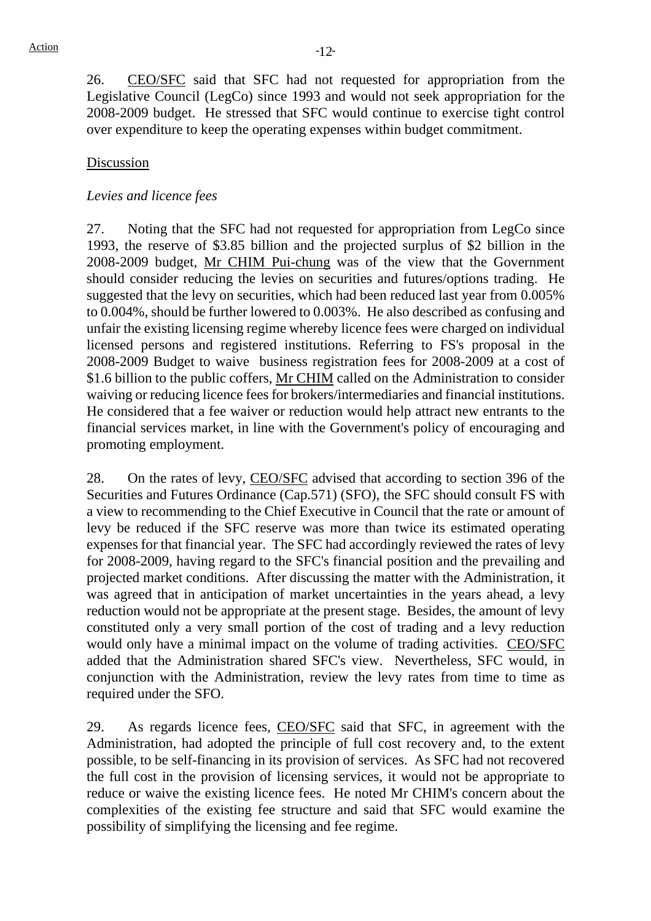26. CEO/SFC said that SFC had not requested for appropriation from the Legislative Council (LegCo) since 1993 and would not seek appropriation for the 2008-2009 budget. He stressed that SFC would continue to exercise tight control over expenditure to keep the operating expenses within budget commitment.

# Discussion

#### *Levies and licence fees*

27. Noting that the SFC had not requested for appropriation from LegCo since 1993, the reserve of \$3.85 billion and the projected surplus of \$2 billion in the 2008-2009 budget, Mr CHIM Pui-chung was of the view that the Government should consider reducing the levies on securities and futures/options trading. He suggested that the levy on securities, which had been reduced last year from 0.005% to 0.004%, should be further lowered to 0.003%. He also described as confusing and unfair the existing licensing regime whereby licence fees were charged on individual licensed persons and registered institutions. Referring to FS's proposal in the 2008-2009 Budget to waive business registration fees for 2008-2009 at a cost of \$1.6 billion to the public coffers, Mr CHIM called on the Administration to consider waiving or reducing licence fees for brokers/intermediaries and financial institutions. He considered that a fee waiver or reduction would help attract new entrants to the financial services market, in line with the Government's policy of encouraging and promoting employment.

28. On the rates of levy, CEO/SFC advised that according to section 396 of the Securities and Futures Ordinance (Cap.571) (SFO), the SFC should consult FS with a view to recommending to the Chief Executive in Council that the rate or amount of levy be reduced if the SFC reserve was more than twice its estimated operating expenses for that financial year. The SFC had accordingly reviewed the rates of levy for 2008-2009, having regard to the SFC's financial position and the prevailing and projected market conditions. After discussing the matter with the Administration, it was agreed that in anticipation of market uncertainties in the years ahead, a levy reduction would not be appropriate at the present stage. Besides, the amount of levy constituted only a very small portion of the cost of trading and a levy reduction would only have a minimal impact on the volume of trading activities. CEO/SFC added that the Administration shared SFC's view. Nevertheless, SFC would, in conjunction with the Administration, review the levy rates from time to time as required under the SFO.

29. As regards licence fees, CEO/SFC said that SFC, in agreement with the Administration, had adopted the principle of full cost recovery and, to the extent possible, to be self-financing in its provision of services. As SFC had not recovered the full cost in the provision of licensing services, it would not be appropriate to reduce or waive the existing licence fees. He noted Mr CHIM's concern about the complexities of the existing fee structure and said that SFC would examine the possibility of simplifying the licensing and fee regime.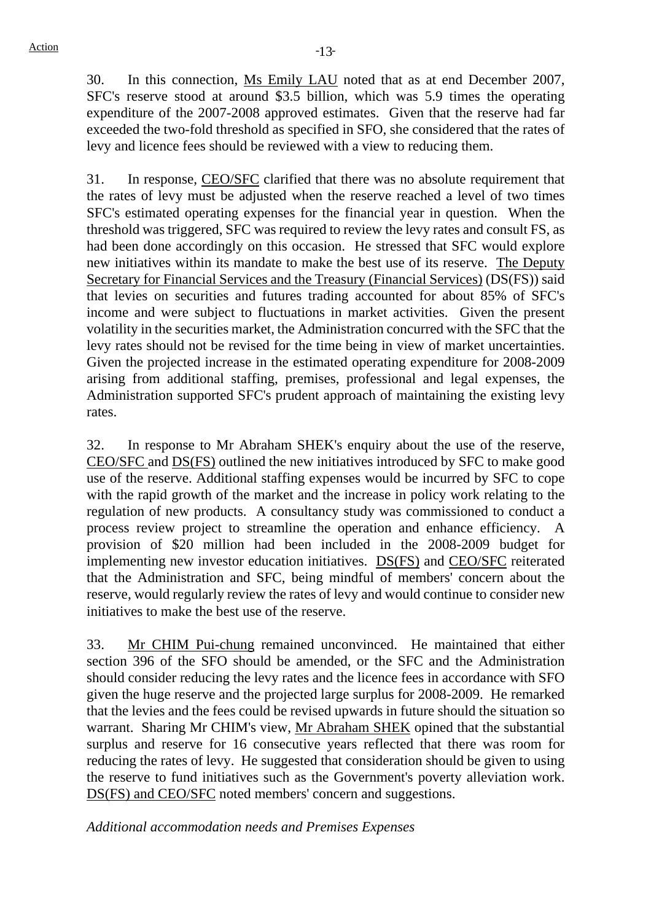30. In this connection, Ms Emily LAU noted that as at end December 2007, SFC's reserve stood at around \$3.5 billion, which was 5.9 times the operating expenditure of the 2007-2008 approved estimates. Given that the reserve had far exceeded the two-fold threshold as specified in SFO, she considered that the rates of levy and licence fees should be reviewed with a view to reducing them.

31. In response, CEO/SFC clarified that there was no absolute requirement that the rates of levy must be adjusted when the reserve reached a level of two times SFC's estimated operating expenses for the financial year in question. When the threshold was triggered, SFC was required to review the levy rates and consult FS, as had been done accordingly on this occasion. He stressed that SFC would explore new initiatives within its mandate to make the best use of its reserve. The Deputy Secretary for Financial Services and the Treasury (Financial Services) (DS(FS)) said that levies on securities and futures trading accounted for about 85% of SFC's income and were subject to fluctuations in market activities. Given the present volatility in the securities market, the Administration concurred with the SFC that the levy rates should not be revised for the time being in view of market uncertainties. Given the projected increase in the estimated operating expenditure for 2008-2009 arising from additional staffing, premises, professional and legal expenses, the Administration supported SFC's prudent approach of maintaining the existing levy rates.

32. In response to Mr Abraham SHEK's enquiry about the use of the reserve, CEO/SFC and DS(FS) outlined the new initiatives introduced by SFC to make good use of the reserve. Additional staffing expenses would be incurred by SFC to cope with the rapid growth of the market and the increase in policy work relating to the regulation of new products. A consultancy study was commissioned to conduct a process review project to streamline the operation and enhance efficiency. A provision of \$20 million had been included in the 2008-2009 budget for implementing new investor education initiatives. DS(FS) and CEO/SFC reiterated that the Administration and SFC, being mindful of members' concern about the reserve, would regularly review the rates of levy and would continue to consider new initiatives to make the best use of the reserve.

33. Mr CHIM Pui-chung remained unconvinced. He maintained that either section 396 of the SFO should be amended, or the SFC and the Administration should consider reducing the levy rates and the licence fees in accordance with SFO given the huge reserve and the projected large surplus for 2008-2009. He remarked that the levies and the fees could be revised upwards in future should the situation so warrant. Sharing Mr CHIM's view, Mr Abraham SHEK opined that the substantial surplus and reserve for 16 consecutive years reflected that there was room for reducing the rates of levy. He suggested that consideration should be given to using the reserve to fund initiatives such as the Government's poverty alleviation work. DS(FS) and CEO/SFC noted members' concern and suggestions.

#### *Additional accommodation needs and Premises Expenses*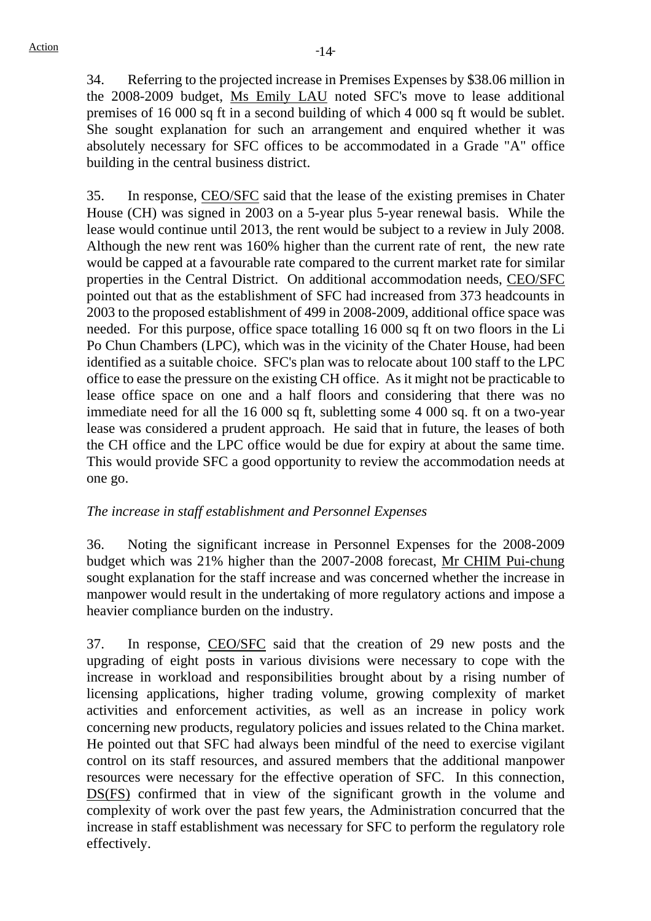34. Referring to the projected increase in Premises Expenses by \$38.06 million in the 2008-2009 budget, Ms Emily LAU noted SFC's move to lease additional premises of 16 000 sq ft in a second building of which 4 000 sq ft would be sublet. She sought explanation for such an arrangement and enquired whether it was absolutely necessary for SFC offices to be accommodated in a Grade "A" office building in the central business district.

35. In response, CEO/SFC said that the lease of the existing premises in Chater House (CH) was signed in 2003 on a 5-year plus 5-year renewal basis. While the lease would continue until 2013, the rent would be subject to a review in July 2008. Although the new rent was 160% higher than the current rate of rent, the new rate would be capped at a favourable rate compared to the current market rate for similar properties in the Central District. On additional accommodation needs, CEO/SFC pointed out that as the establishment of SFC had increased from 373 headcounts in 2003 to the proposed establishment of 499 in 2008-2009, additional office space was needed. For this purpose, office space totalling 16 000 sq ft on two floors in the Li Po Chun Chambers (LPC), which was in the vicinity of the Chater House, had been identified as a suitable choice. SFC's plan was to relocate about 100 staff to the LPC office to ease the pressure on the existing CH office. As it might not be practicable to lease office space on one and a half floors and considering that there was no immediate need for all the 16 000 sq ft, subletting some 4 000 sq. ft on a two-year lease was considered a prudent approach. He said that in future, the leases of both the CH office and the LPC office would be due for expiry at about the same time. This would provide SFC a good opportunity to review the accommodation needs at one go.

### *The increase in staff establishment and Personnel Expenses*

36. Noting the significant increase in Personnel Expenses for the 2008-2009 budget which was 21% higher than the 2007-2008 forecast, Mr CHIM Pui-chung sought explanation for the staff increase and was concerned whether the increase in manpower would result in the undertaking of more regulatory actions and impose a heavier compliance burden on the industry.

37. In response, CEO/SFC said that the creation of 29 new posts and the upgrading of eight posts in various divisions were necessary to cope with the increase in workload and responsibilities brought about by a rising number of licensing applications, higher trading volume, growing complexity of market activities and enforcement activities, as well as an increase in policy work concerning new products, regulatory policies and issues related to the China market. He pointed out that SFC had always been mindful of the need to exercise vigilant control on its staff resources, and assured members that the additional manpower resources were necessary for the effective operation of SFC. In this connection, DS(FS) confirmed that in view of the significant growth in the volume and complexity of work over the past few years, the Administration concurred that the increase in staff establishment was necessary for SFC to perform the regulatory role effectively.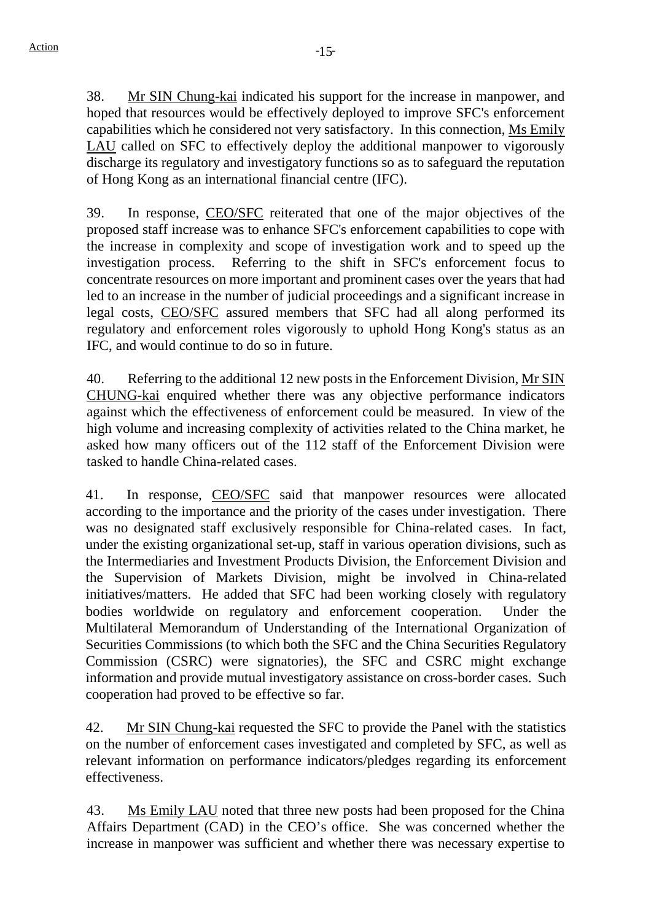38. Mr SIN Chung-kai indicated his support for the increase in manpower, and hoped that resources would be effectively deployed to improve SFC's enforcement capabilities which he considered not very satisfactory. In this connection, Ms Emily LAU called on SFC to effectively deploy the additional manpower to vigorously discharge its regulatory and investigatory functions so as to safeguard the reputation of Hong Kong as an international financial centre (IFC).

39. In response, CEO/SFC reiterated that one of the major objectives of the proposed staff increase was to enhance SFC's enforcement capabilities to cope with the increase in complexity and scope of investigation work and to speed up the investigation process. Referring to the shift in SFC's enforcement focus to concentrate resources on more important and prominent cases over the years that had led to an increase in the number of judicial proceedings and a significant increase in legal costs, CEO/SFC assured members that SFC had all along performed its regulatory and enforcement roles vigorously to uphold Hong Kong's status as an IFC, and would continue to do so in future.

40. Referring to the additional 12 new posts in the Enforcement Division, Mr SIN CHUNG-kai enquired whether there was any objective performance indicators against which the effectiveness of enforcement could be measured. In view of the high volume and increasing complexity of activities related to the China market, he asked how many officers out of the 112 staff of the Enforcement Division were tasked to handle China-related cases.

41. In response, CEO/SFC said that manpower resources were allocated according to the importance and the priority of the cases under investigation. There was no designated staff exclusively responsible for China-related cases. In fact, under the existing organizational set-up, staff in various operation divisions, such as the Intermediaries and Investment Products Division, the Enforcement Division and the Supervision of Markets Division, might be involved in China-related initiatives/matters. He added that SFC had been working closely with regulatory bodies worldwide on regulatory and enforcement cooperation. Under the Multilateral Memorandum of Understanding of the International Organization of Securities Commissions (to which both the SFC and the China Securities Regulatory Commission (CSRC) were signatories), the SFC and CSRC might exchange information and provide mutual investigatory assistance on cross-border cases. Such cooperation had proved to be effective so far.

42. Mr SIN Chung-kai requested the SFC to provide the Panel with the statistics on the number of enforcement cases investigated and completed by SFC, as well as relevant information on performance indicators/pledges regarding its enforcement effectiveness.

43. Ms Emily LAU noted that three new posts had been proposed for the China Affairs Department (CAD) in the CEO's office. She was concerned whether the increase in manpower was sufficient and whether there was necessary expertise to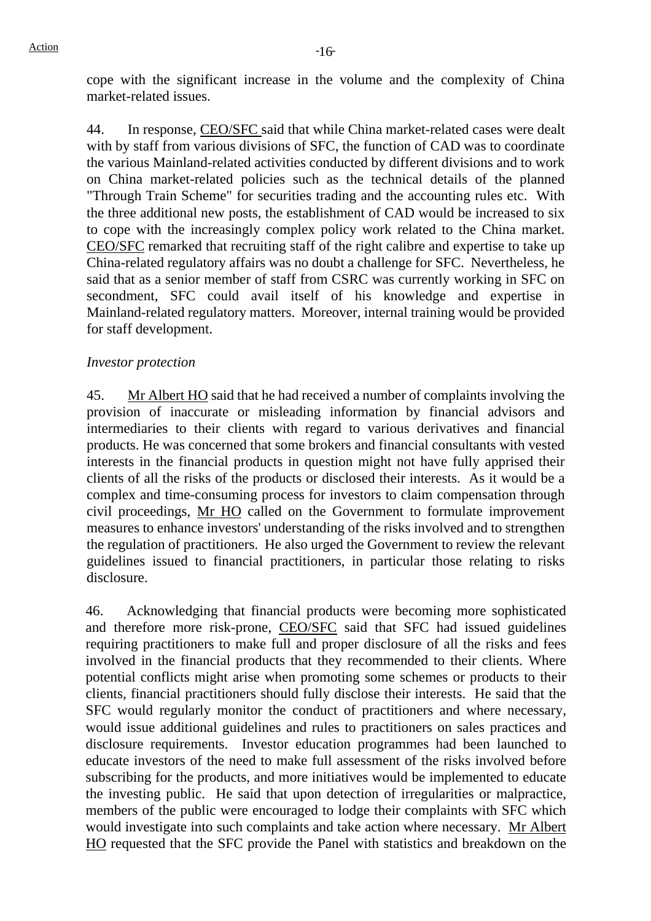cope with the significant increase in the volume and the complexity of China market-related issues.

44. In response, CEO/SFC said that while China market-related cases were dealt with by staff from various divisions of SFC, the function of CAD was to coordinate the various Mainland-related activities conducted by different divisions and to work on China market-related policies such as the technical details of the planned "Through Train Scheme" for securities trading and the accounting rules etc. With the three additional new posts, the establishment of CAD would be increased to six to cope with the increasingly complex policy work related to the China market. CEO/SFC remarked that recruiting staff of the right calibre and expertise to take up China-related regulatory affairs was no doubt a challenge for SFC. Nevertheless, he said that as a senior member of staff from CSRC was currently working in SFC on secondment, SFC could avail itself of his knowledge and expertise in Mainland-related regulatory matters. Moreover, internal training would be provided for staff development.

### *Investor protection*

45. Mr Albert HO said that he had received a number of complaints involving the provision of inaccurate or misleading information by financial advisors and intermediaries to their clients with regard to various derivatives and financial products. He was concerned that some brokers and financial consultants with vested interests in the financial products in question might not have fully apprised their clients of all the risks of the products or disclosed their interests. As it would be a complex and time-consuming process for investors to claim compensation through civil proceedings, Mr HO called on the Government to formulate improvement measures to enhance investors' understanding of the risks involved and to strengthen the regulation of practitioners. He also urged the Government to review the relevant guidelines issued to financial practitioners, in particular those relating to risks disclosure.

46. Acknowledging that financial products were becoming more sophisticated and therefore more risk-prone, CEO/SFC said that SFC had issued guidelines requiring practitioners to make full and proper disclosure of all the risks and fees involved in the financial products that they recommended to their clients. Where potential conflicts might arise when promoting some schemes or products to their clients, financial practitioners should fully disclose their interests. He said that the SFC would regularly monitor the conduct of practitioners and where necessary, would issue additional guidelines and rules to practitioners on sales practices and disclosure requirements. Investor education programmes had been launched to educate investors of the need to make full assessment of the risks involved before subscribing for the products, and more initiatives would be implemented to educate the investing public. He said that upon detection of irregularities or malpractice, members of the public were encouraged to lodge their complaints with SFC which would investigate into such complaints and take action where necessary. Mr Albert HO requested that the SFC provide the Panel with statistics and breakdown on the